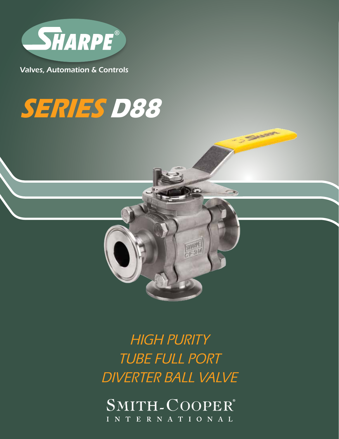

Valves, Automation & Controls

# **SERIES D88**



SANSER

HIGH PURITY TUBE FULL PORT DIVERTER BALL VALVE

SMITH-COOPER® INTERNATIONAL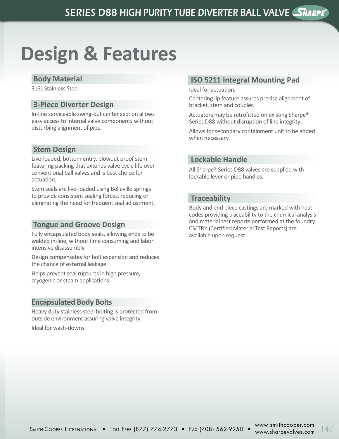## **Design & Features**

#### **Body Material**

316L Stainless Steel

#### **3-Piece Diverter Design**

In-line serviceable swing-out center section allows easy access to internal valve components without disturbing alignment of pipe.

#### **Stem Design**

Live-loaded, bottom entry, blowout proof stem featuring packing that extends valve cycle life over conventional ball valves and is best choice for actuation.

Stem seals are live-loaded using Belleville springs to provide consistent sealing forces, reducing or eliminating the need for frequent seal adjustment.

#### **Tongue and Groove Design**

Fully encapsulated body seals, allowing ends to be welded in-line, without time consuming and labor intensive disassembly.

Design compensates for bolt expansion and reduces the chance of external leakage.

Helps prevent seal ruptures in high pressure, cryogenic or steam applications.

#### **Encapsulated Body Bolts**

Heavy duty stainless steel bolting is protected from outside environment assuring valve integrity.

Ideal for wash-downs.

#### **ISO 5211 Integral Mounting Pad**

Ideal for actuation.

Centering lip feature assures precise alignment of bracket, stem and coupler.

Actuators may be retrofitted on existing Sharpe® Series D88 without disruption of line integrity.

Allows for secondary containment unit to be added when necessary.

#### **Lockable Handle**

All Sharpe® Series D88 valves are supplied with lockable lever or pipe handles.

#### **Traceability**

Body and end piece castings are marked with heat codes providing traceability to the chemical analysis and material test reports performed at the foundry. CMTR's (Certified Material Test Reports) are available upon request.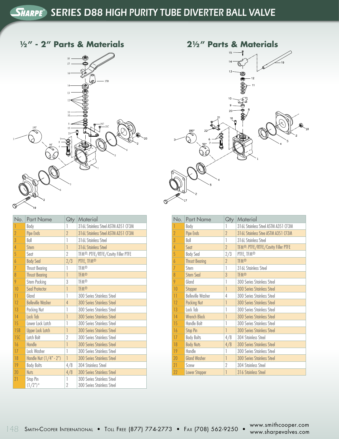**1/2" - 2" Parts & Materials**





| No.             | <b>Part Name</b>         | $Q$ ty              | Material                                                 |
|-----------------|--------------------------|---------------------|----------------------------------------------------------|
|                 | Body                     | 1                   | 316L Stainless Steel ASTM A351 CF3M                      |
| $\overline{2}$  | Pipe Ends                | $\gamma$            | 316L Stainless Steel ASTM A351 CF3M                      |
| 3               | Ball                     | 1                   | 316L Stainless Steel                                     |
| $\overline{4}$  | <b>Stem</b>              | 1                   | 316L Stainless Steel                                     |
| 5               | Seat                     | $\overline{2}$      | TFM <sup>®</sup> , PTFE/RTFE/Cavity Filler PTFE          |
| $\overline{6}$  | <b>Body Seal</b>         | 2/3                 | PTFE, TFM®                                               |
| 7               | <b>Thrust Bearing</b>    | 1                   | <b>TFM®</b>                                              |
| 8               | <b>Thrust Bearing</b>    | 1                   | <b>TFM®</b>                                              |
| 9               | Stem Packing             | 3                   | <b>TFM®</b>                                              |
| 10              | Seal Protector           | 1                   | <b>TFM®</b>                                              |
| $\overline{11}$ | Gland                    | 1                   | 300 Series Stainless Steel                               |
| 12              | <b>Belleville Washer</b> | 4                   | <b>300 Series Stainless Steel</b>                        |
| 13              | Packing Nut              | 1                   | 300 Series Stainless Steel                               |
| 14              | Lock Tab                 | 1                   | <b>300 Series Stainless Steel</b>                        |
| 15              | Lower Lock Latch         | 1                   | 300 Series Stainless Steel                               |
| 15B             | <b>Upper Lock Latch</b>  | 1                   | <b>300 Series Stainless Steel</b>                        |
| 15C             | Latch Bolt               | 2                   | 300 Series Stainless Steel                               |
| 16              | Handle                   | 1                   | <b>300 Series Stainless Steel</b>                        |
| 17              | Lock Washer              | 1                   | 300 Series Stainless Steel                               |
| 18              | Handle Nut (1/4" - 2")   | 1                   | <b>300 Series Stainless Steel</b>                        |
| 19              | <b>Body Bolts</b>        | 4/8                 | 304 Stainless Steel                                      |
| 20              | <b>Nuts</b>              | 4/8                 | <b>300 Series Stainless Steel</b>                        |
| 21              | Stop Pin<br>$(1/2")^*$   | 1<br>$\overline{2}$ | 300 Series Stainless Steel<br>300 Series Stainless Steel |

| No.                   | <b>Part Name</b>         | Qty            | Material                                        |
|-----------------------|--------------------------|----------------|-------------------------------------------------|
| 1                     | Body                     | 1              | 316L Stainless Steel ASTM A351 CF3M             |
| $\overline{2}$        | Pipe Ends                | $\overline{2}$ | 316L Stainless Stee ASTM A351 CF3M              |
| $\overline{3}$        | Ball                     | 1              | 316L Stainless Steel                            |
| $\overline{4}$        | Sent                     | $\gamma$       | TFM <sup>®</sup> , PTFE/RTFE/Cavity Filler PTFE |
| 5                     | <b>Body Seal</b>         | 2/3            | PTFE, TFM®                                      |
| $\overline{6}$        | <b>Thrust Bearing</b>    | $\overline{2}$ | <b>TFM®</b>                                     |
| $\overline{1}$        | Stem                     | 1              | 316L Stainless Steel                            |
| $\boldsymbol{\delta}$ | <b>Stem Seal</b>         | $\overline{3}$ | <b>TFM®</b>                                     |
| 9                     | Gland                    | 1              | 300 Series Stainless Steel                      |
| 10                    | Stopper                  | 1              | <b>300 Series Stainless Steel</b>               |
| $\overline{11}$       | <b>Belleville Washer</b> | 4              | 300 Series Stainless Steel                      |
| 12                    | <b>Packing Nut</b>       | 1              | 300 Series Stainless Steel                      |
| 13                    | Lock Tab                 | 1              | 300 Series Stainless Steel                      |
| 14                    | <b>Wrench Block</b>      | 1              | <b>300 Series Stainless Steel</b>               |
| 15                    | Handle Bolt              | 1              | 300 Series Stainless Steel                      |
| 16                    | <b>Stop Pin</b>          | 1              | <b>300 Series Stainless Steel</b>               |
| 17                    | <b>Body Bolts</b>        | 4/8            | 304 Stainless Steel                             |
| 18                    | <b>Body Nuts</b>         | 4/8            | <b>300 Series Stainless Steel</b>               |
| 19                    | Handle                   | 1              | 300 Series Stainless Steel                      |
| 20                    | <b>Gland Washer</b>      | 1              | <b>300 Series Stainless Steel</b>               |
| 21                    | Screw                    | $\overline{2}$ | 304 Stainless Steel                             |
| 22                    | <b>Lower Stopper</b>     |                | 316 Stainless Steel                             |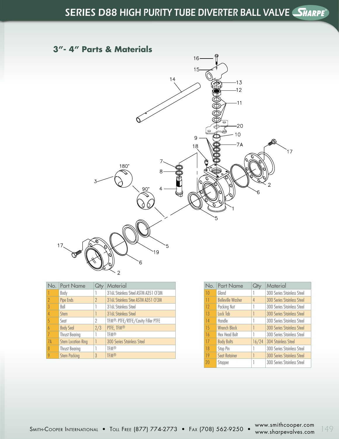#### **3"- 4" Parts & Materials**



|                          | No. Part Name             | Qł             | Material                            |
|--------------------------|---------------------------|----------------|-------------------------------------|
|                          | Body                      |                | 316L Stainless Steel ASTM A351 CF3M |
| $\overline{\phantom{a}}$ | Pipe Ends                 | $\gamma$       | 316L Stainless Stee ASTM A351 CF3M  |
| $\overline{3}$           | Ball                      |                | 316L Stainless Steel                |
| 4                        | <b>Stem</b>               |                | 316L Stainless Steel                |
| 5                        | Seat                      | 2              | TFM®, PTFE/RTFE/Cavity Filler PTFE  |
|                          | <b>Body Seal</b>          | 2/3            | PTFE, TFM®                          |
|                          | <b>Thrust Bearing</b>     |                | <b>TFM®</b>                         |
| 7A                       | <b>Stem Location Ring</b> |                | <b>300 Series Stainless Steel</b>   |
| 8                        | <b>Thrust Bearing</b>     |                | <b>TFM®</b>                         |
|                          | <b>Stem Packing</b>       | $\overline{3}$ | <b>TFM®</b>                         |

| No. | <b>Part Name</b>         | Qły            | Material                          |
|-----|--------------------------|----------------|-----------------------------------|
| 10  | Gland                    |                | 300 Series Stainless Steel        |
| 11  | <b>Belleville Washer</b> | $\overline{4}$ | <b>300 Series Stainless Steel</b> |
| 12  | Packing Nut              |                | 300 Series Stainless Steel        |
| 13  | Lock Tab                 |                | <b>300 Series Stainless Steel</b> |
| 14  | Handle                   |                | 300 Series Stainless Steel        |
| 15  | <b>Wrench Block</b>      | 1              | <b>300 Series Stainless Steel</b> |
| 16  | <b>Hex Head Bolt</b>     | 1              | 300 Series Stainless Steel        |
| 17  | <b>Body Bolts</b>        | 16/24          | <b>304 Stainless Steel</b>        |
| 18  | Stop Pin                 |                | 300 Series Stainless Steel        |
| 19  | <b>Seat Retainer</b>     |                | <b>300 Series Stainless Steel</b> |
| 20  | Stopper                  |                | 300 Series Stainless Steel        |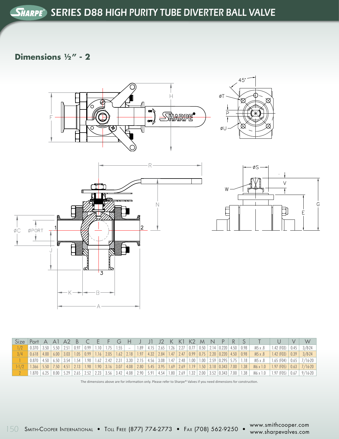#### **Dimensions 1/2" - 2**



| Size Port A A1 A2 B C E F G H J J1 J2 K K1 K2 M N $P   R   S  $ |  |  |  |  |  |  |  |  |  |  |                                                                                                                                                                                                      | UVI |  |
|-----------------------------------------------------------------|--|--|--|--|--|--|--|--|--|--|------------------------------------------------------------------------------------------------------------------------------------------------------------------------------------------------------|-----|--|
| 1/2                                                             |  |  |  |  |  |  |  |  |  |  | $\vert$ 0.370   3.50   5.50   2.51   0.97   0.99   1.10   1.75   1.55   $\vert$   1.89   4.15   2.65   1.26   2.27   0.77   0.50   2.14   0.220   4.50   0.98   M5 x .8   1.42 (FO3)   0.45   3/8-24 |     |  |
|                                                                 |  |  |  |  |  |  |  |  |  |  | 3/4 0.618 4.00 6.00 3.03 1.05 0.99 1.16 2.05 1.62 2.18 1.97 4.32 2.84 1.47 2.47 0.99 0.75 2.20 0.220 4.50 0.98 M5x.8 1.42 (FO3) 0.39 3/824                                                           |     |  |
|                                                                 |  |  |  |  |  |  |  |  |  |  | 0.870 4.50 6.50 3.54 1.54 1.98 1.62 2.42 2.31 3.30 2.15 4.56 3.08 1.47 2.48 1.00 1.00 2.59 0.295 5.75 1.18 M5 x 8 1.65 (F04) 0.65 7716-20                                                            |     |  |
|                                                                 |  |  |  |  |  |  |  |  |  |  | 1-1/2 1.366 5.50 7.50 4.51 2.13 1.98 1.90 3.16 3.07 4.08 2.80 5.45 3.95 1.69 2.69 1.19 1.50 3.18 0.343 7.00 1.38 $M6 x 1.0$ 1.97 (F05) 0.63 7/16-20                                                  |     |  |
|                                                                 |  |  |  |  |  |  |  |  |  |  | 1.870 6.25 8.00 5.29 2.65 2.52 2.23 3.56 3.42 4.08 2.90 5.91 4.54 1.80 2.69 1.32 2.00 3.52 0.343 7.00 1.38 M6 x 1.0 1.97 (F05) 0.67 9/16-20                                                          |     |  |

The dimensions above are for information only. Please refer to Sharpe® Valves if you need dimensions for construction.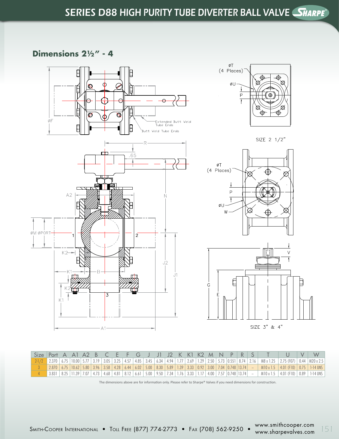#### **Dimensions 21/2" - 4**











| Size Port A A1 A2 B C E F G J J1 J2 K K1 K2 M N P R S $\vert$ |  |  |  |  |  |  |  |  |  |  |                                                                                                                                                                                                                                                                               |  | W |
|---------------------------------------------------------------|--|--|--|--|--|--|--|--|--|--|-------------------------------------------------------------------------------------------------------------------------------------------------------------------------------------------------------------------------------------------------------------------------------|--|---|
|                                                               |  |  |  |  |  |  |  |  |  |  | 2.1/2 2.370 6.75 10.00 5.77 3.19 3.05 3.25 4.57 4.85 3.45 6.34 4.94 1.77 2.69 1.29 2.50 5.73 0.551 8.74 2.16 M8 x 1.25 2.75 (FO7) 0.44 M20 x 2.5                                                                                                                              |  |   |
|                                                               |  |  |  |  |  |  |  |  |  |  | $\mid$ 2.870 $\mid$ 6.75 $\mid$ 10.62 $\mid$ 5.50 $\mid$ 3.58 $\mid$ 4.28 $\mid$ 6.44 $\mid$ 6.02 $\mid$ 5.00 $\mid$ 8.30 $\mid$ 5.89 $\mid$ 1.39 $\mid$ 3.33 $\mid$ 0.92 $\mid$ 3.00 $\mid$ 7.04 $\mid$ 0.748 $\mid$ 13.74 $\mid$ $\mid$ $\mid$ $\mid$ $\mid$ $\mid$ 4.01 (F |  |   |
|                                                               |  |  |  |  |  |  |  |  |  |  | 3.831 8.25 11.39 7.07 4.73 4.68 4.81 8.12 6.61 5.00 9.50 7.34 1.76 3.33 1.17 4.00 7.57 0.748 13.74 - M10 x 1.5 4.01 (F10) 0.89 1-14 UNS                                                                                                                                       |  |   |

The dimensions above are for information only. Please refer to Sharpe® Valves if you need dimensions for construction.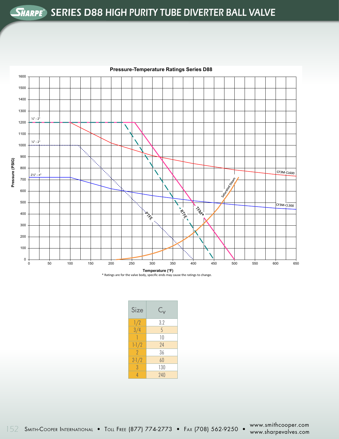### SERIES D88 HIGH PURITY TUBE DIVERTER BALL VALVE



#### **Pressure-Temperature Ratings Series D88**

| Size           | $\mathsf{C}_{\mathsf{v}}$ |
|----------------|---------------------------|
| 1/2            | 3.2                       |
| 3/4            | 5                         |
|                | 10                        |
| $1 - 1/2$      | 74                        |
| $\overline{2}$ | 36                        |
| $2 - 1/2$      | 60                        |
| 3              | 130                       |
| 4              | 240                       |

SZ SMITH-Cooper International • Toll Free (877) 774-2773 • Fax (708) 562-9250 • www.sharpevalves.com 152